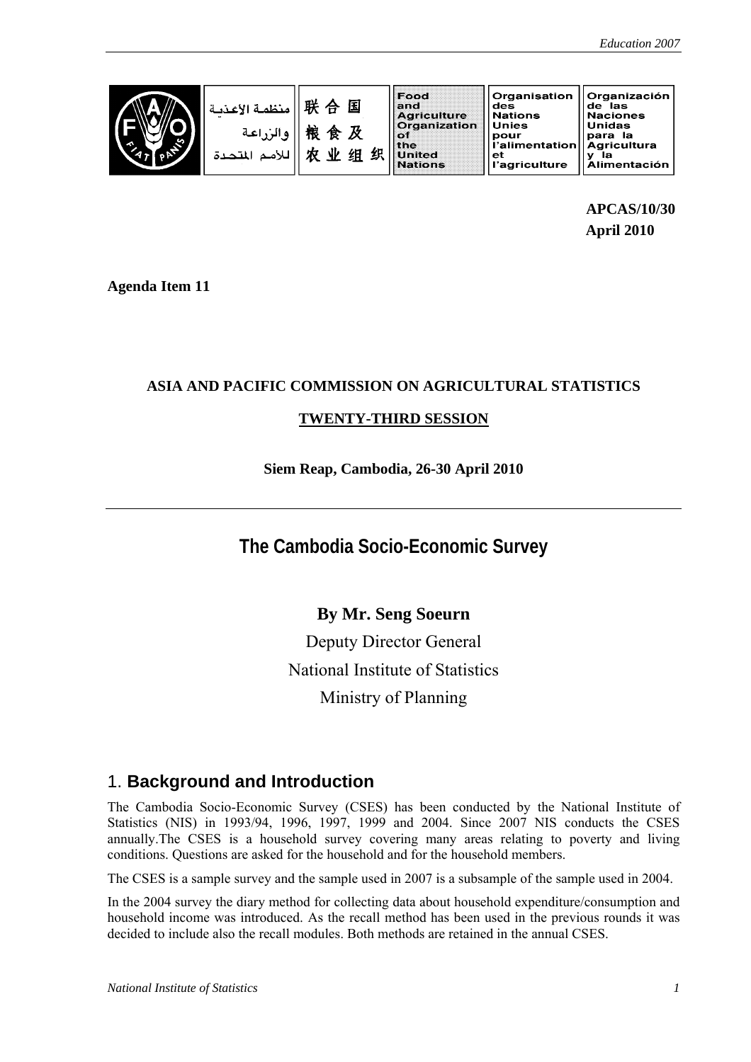**APCAS/10/30 April 2010** 

**Agenda Item 11** 

### **ASIA AND PACIFIC COMMISSION ON AGRICULTURAL STATISTICS**

### **TWENTY-THIRD SESSION**

### **Siem Reap, Cambodia, 26-30 April 2010**

# **The Cambodia Socio-Economic Survey**

## **By Mr. Seng Soeurn**

Deputy Director General National Institute of Statistics Ministry of Planning

## 1. **Background and Introduction**

The Cambodia Socio-Economic Survey (CSES) has been conducted by the National Institute of Statistics (NIS) in 1993/94, 1996, 1997, 1999 and 2004. Since 2007 NIS conducts the CSES annually.The CSES is a household survey covering many areas relating to poverty and living conditions. Questions are asked for the household and for the household members.

The CSES is a sample survey and the sample used in 2007 is a subsample of the sample used in 2004.

In the 2004 survey the diary method for collecting data about household expenditure/consumption and household income was introduced. As the recall method has been used in the previous rounds it was decided to include also the recall modules. Both methods are retained in the annual CSES.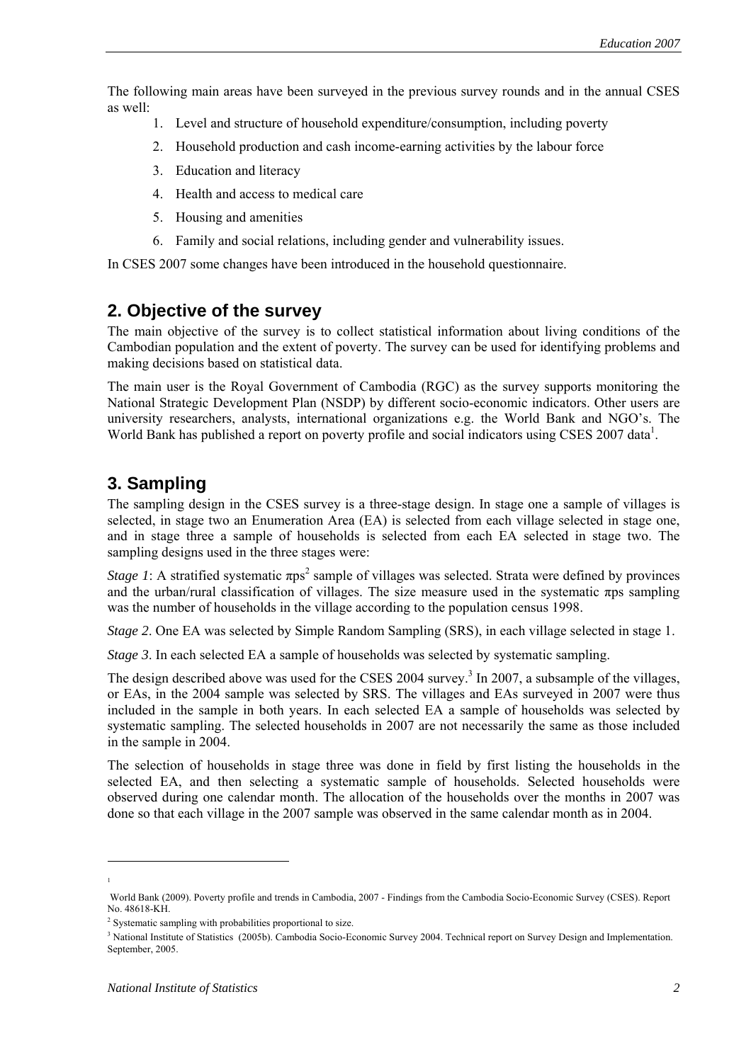The following main areas have been surveyed in the previous survey rounds and in the annual CSES as well:

- 1. Level and structure of household expenditure/consumption, including poverty
- 2. Household production and cash income-earning activities by the labour force
- 3. Education and literacy
- 4. Health and access to medical care
- 5. Housing and amenities
- 6. Family and social relations, including gender and vulnerability issues.

In CSES 2007 some changes have been introduced in the household questionnaire.

### **2. Objective of the survey**

The main objective of the survey is to collect statistical information about living conditions of the Cambodian population and the extent of poverty. The survey can be used for identifying problems and making decisions based on statistical data.

The main user is the Royal Government of Cambodia (RGC) as the survey supports monitoring the National Strategic Development Plan (NSDP) by different socio-economic indicators. Other users are university researchers, analysts, international organizations e.g. the World Bank and NGO's. The World Bank has published a report on poverty profile and social indicators using CSES 2007 data<sup>1</sup>.

## **3. Sampling**

The sampling design in the CSES survey is a three-stage design. In stage one a sample of villages is selected, in stage two an Enumeration Area (EA) is selected from each village selected in stage one, and in stage three a sample of households is selected from each EA selected in stage two. The sampling designs used in the three stages were:

*Stage 1*: A stratified systematic  $\pi ps^2$  $\pi ps^2$  sample of villages was selected. Strata were defined by provinces and the urban/rural classification of villages. The size measure used in the systematic πps sampling was the number of households in the village according to the population census 1998.

*Stage 2.* One EA was selected by Simple Random Sampling (SRS), in each village selected in stage 1.

*Stage 3*. In each selected EA a sample of households was selected by systematic sampling.

The design described above was used for the CSES 2004 survey.<sup>[3](#page-1-2)</sup> In 2007, a subsample of the villages, or EAs, in the 2004 sample was selected by SRS. The villages and EAs surveyed in 2007 were thus included in the sample in both years. In each selected EA a sample of households was selected by systematic sampling. The selected households in 2007 are not necessarily the same as those included in the sample in 2004.

The selection of households in stage three was done in field by first listing the households in the selected EA, and then selecting a systematic sample of households. Selected households were observed during one calendar month. The allocation of the households over the months in 2007 was done so that each village in the 2007 sample was observed in the same calendar month as in 2004.

 1

<span id="page-1-0"></span>World Bank (2009). Poverty profile and trends in Cambodia, 2007 - Findings from the Cambodia Socio-Economic Survey (CSES). Report No. 48618-KH.

<span id="page-1-1"></span><sup>&</sup>lt;sup>2</sup> Systematic sampling with probabilities proportional to size.

<span id="page-1-2"></span><sup>&</sup>lt;sup>3</sup> National Institute of Statistics (2005b). Cambodia Socio-Economic Survey 2004. Technical report on Survey Design and Implementation. September, 2005.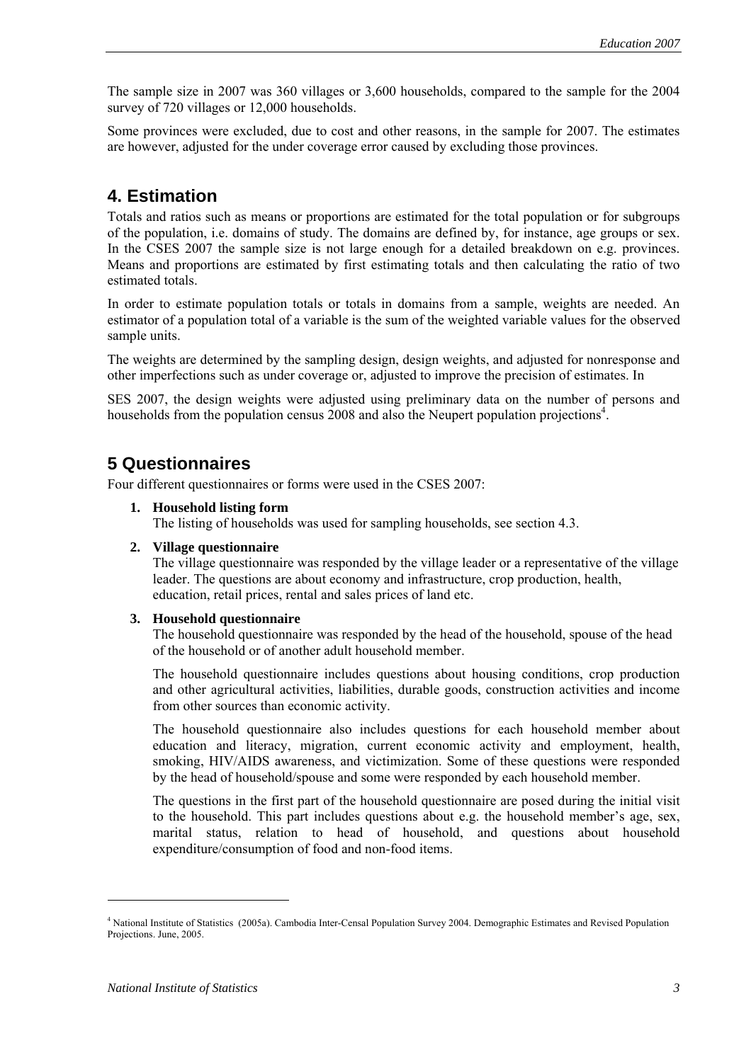The sample size in 2007 was 360 villages or 3,600 households, compared to the sample for the 2004 survey of 720 villages or 12,000 households.

Some provinces were excluded, due to cost and other reasons, in the sample for 2007. The estimates are however, adjusted for the under coverage error caused by excluding those provinces.

## **4. Estimation**

Totals and ratios such as means or proportions are estimated for the total population or for subgroups of the population, i.e. domains of study. The domains are defined by, for instance, age groups or sex. In the CSES 2007 the sample size is not large enough for a detailed breakdown on e.g. provinces. Means and proportions are estimated by first estimating totals and then calculating the ratio of two estimated totals.

In order to estimate population totals or totals in domains from a sample, weights are needed. An estimator of a population total of a variable is the sum of the weighted variable values for the observed sample units.

The weights are determined by the sampling design, design weights, and adjusted for nonresponse and other imperfections such as under coverage or, adjusted to improve the precision of estimates. In

SES 2007, the design weights were adjusted using preliminary data on the number of persons and households from the population census 2008 and also the Neupert population projections<sup>4</sup>.

### **5 Questionnaires**

Four different questionnaires or forms were used in the CSES 2007:

**1. Household listing form** 

The listing of households was used for sampling households, see section 4.3.

#### **2. Village questionnaire**

The village questionnaire was responded by the village leader or a representative of the village leader. The questions are about economy and infrastructure, crop production, health, education, retail prices, rental and sales prices of land etc.

#### **3. Household questionnaire**

The household questionnaire was responded by the head of the household, spouse of the head of the household or of another adult household member.

The household questionnaire includes questions about housing conditions, crop production and other agricultural activities, liabilities, durable goods, construction activities and income from other sources than economic activity.

The household questionnaire also includes questions for each household member about education and literacy, migration, current economic activity and employment, health, smoking, HIV/AIDS awareness, and victimization. Some of these questions were responded by the head of household/spouse and some were responded by each household member.

The questions in the first part of the household questionnaire are posed during the initial visit to the household. This part includes questions about e.g. the household member's age, sex, marital status, relation to head of household, and questions about household expenditure/consumption of food and non-food items.

 $\overline{a}$ 

<span id="page-2-0"></span><sup>4</sup> National Institute of Statistics (2005a). Cambodia Inter-Censal Population Survey 2004. Demographic Estimates and Revised Population Projections. June, 2005.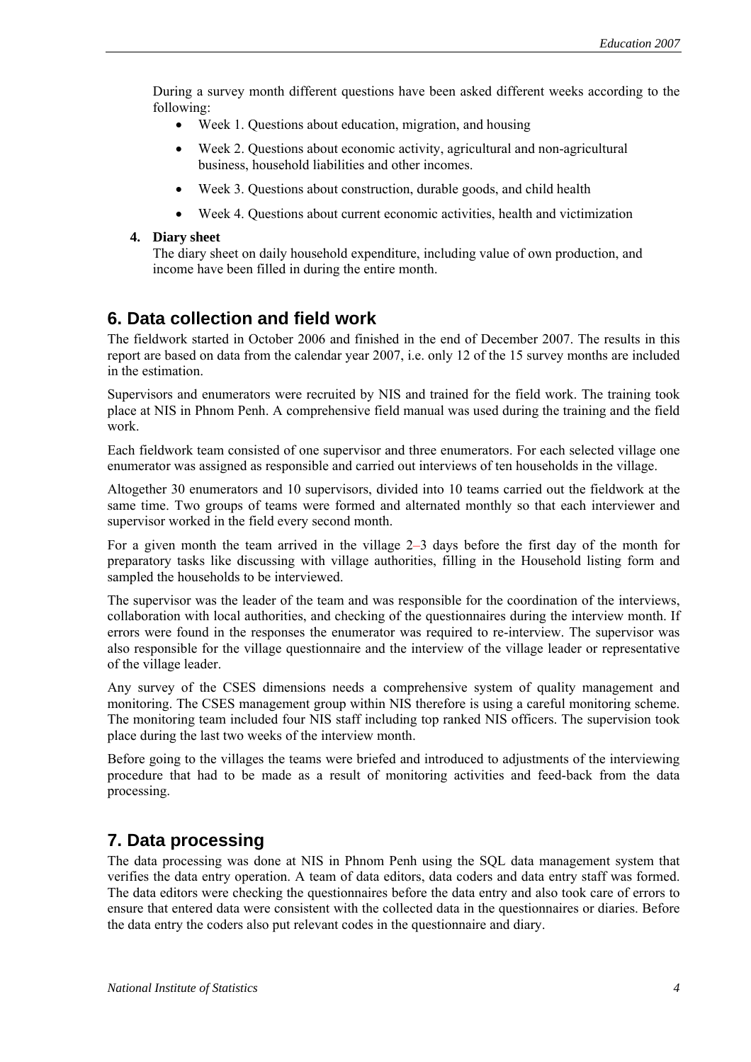During a survey month different questions have been asked different weeks according to the following:

- Week 1. Ouestions about education, migration, and housing
- Week 2. Questions about economic activity, agricultural and non-agricultural business, household liabilities and other incomes.
- Week 3. Questions about construction, durable goods, and child health
- Week 4. Questions about current economic activities, health and victimization

#### **4. Diary sheet**

The diary sheet on daily household expenditure, including value of own production, and income have been filled in during the entire month.

## **6. Data collection and field work**

The fieldwork started in October 2006 and finished in the end of December 2007. The results in this report are based on data from the calendar year 2007, i.e. only 12 of the 15 survey months are included in the estimation.

Supervisors and enumerators were recruited by NIS and trained for the field work. The training took place at NIS in Phnom Penh. A comprehensive field manual was used during the training and the field work.

Each fieldwork team consisted of one supervisor and three enumerators. For each selected village one enumerator was assigned as responsible and carried out interviews of ten households in the village.

Altogether 30 enumerators and 10 supervisors, divided into 10 teams carried out the fieldwork at the same time. Two groups of teams were formed and alternated monthly so that each interviewer and supervisor worked in the field every second month.

For a given month the team arrived in the village 2–3 days before the first day of the month for preparatory tasks like discussing with village authorities, filling in the Household listing form and sampled the households to be interviewed.

The supervisor was the leader of the team and was responsible for the coordination of the interviews, collaboration with local authorities, and checking of the questionnaires during the interview month. If errors were found in the responses the enumerator was required to re-interview. The supervisor was also responsible for the village questionnaire and the interview of the village leader or representative of the village leader.

Any survey of the CSES dimensions needs a comprehensive system of quality management and monitoring. The CSES management group within NIS therefore is using a careful monitoring scheme. The monitoring team included four NIS staff including top ranked NIS officers. The supervision took place during the last two weeks of the interview month.

Before going to the villages the teams were briefed and introduced to adjustments of the interviewing procedure that had to be made as a result of monitoring activities and feed-back from the data processing.

## **7. Data processing**

The data processing was done at NIS in Phnom Penh using the SQL data management system that verifies the data entry operation. A team of data editors, data coders and data entry staff was formed. The data editors were checking the questionnaires before the data entry and also took care of errors to ensure that entered data were consistent with the collected data in the questionnaires or diaries. Before the data entry the coders also put relevant codes in the questionnaire and diary.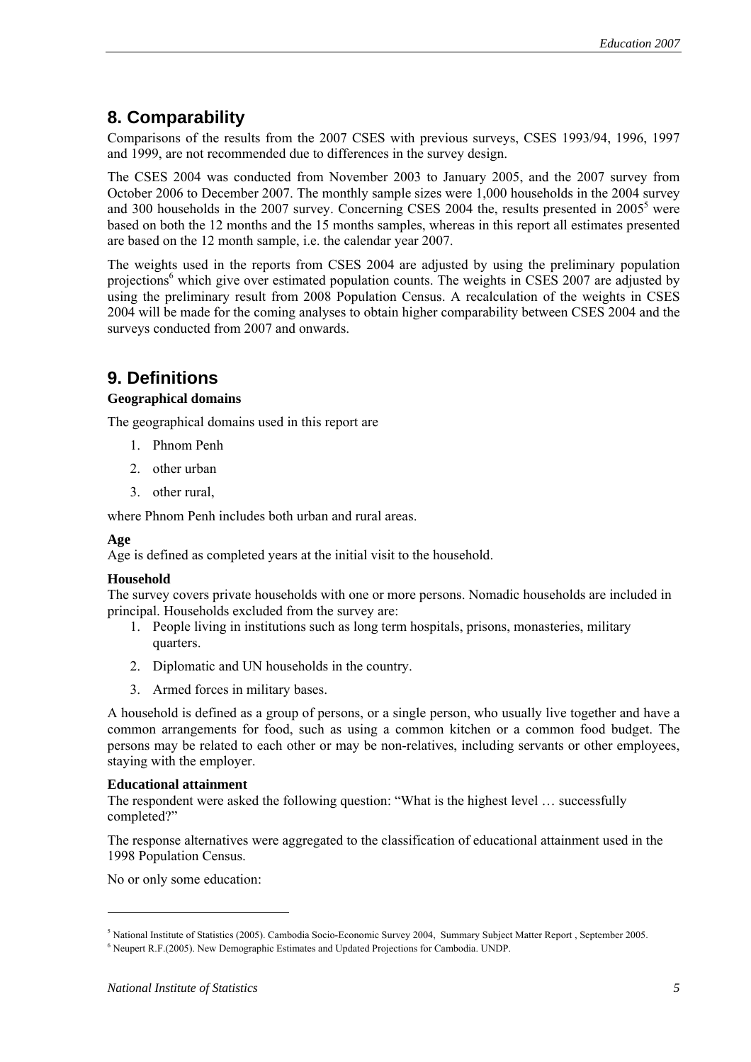# **8. Comparability**

Comparisons of the results from the 2007 CSES with previous surveys, CSES 1993/94, 1996, 1997 and 1999, are not recommended due to differences in the survey design.

The CSES 2004 was conducted from November 2003 to January 2005, and the 2007 survey from October 2006 to December 2007. The monthly sample sizes were 1,000 households in the 2004 survey and 300 households in the 2007 survey. Concerning CSES 2004 the, results presented in  $2005<sup>5</sup>$  were based on both the 12 months and the 15 months samples, whereas in this report all estimates presented are based on the 12 month sample, i.e. the calendar year 2007.

The weights used in the reports from CSES 2004 are adjusted by using the preliminary population projections<sup>6</sup> which give over estimated population counts. The weights in CSES 2007 are adjusted by using the preliminary result from 2008 Population Census. A recalculation of the weights in CSES 2004 will be made for the coming analyses to obtain higher comparability between CSES 2004 and the surveys conducted from 2007 and onwards.

# **9. Definitions**

#### **Geographical domains**

The geographical domains used in this report are

- 1. Phnom Penh
- 2. other urban
- 3. other rural,

where Phnom Penh includes both urban and rural areas.

#### **Age**

Age is defined as completed years at the initial visit to the household.

#### **Household**

The survey covers private households with one or more persons. Nomadic households are included in principal. Households excluded from the survey are:

- 1. People living in institutions such as long term hospitals, prisons, monasteries, military quarters.
- 2. Diplomatic and UN households in the country.
- 3. Armed forces in military bases.

A household is defined as a group of persons, or a single person, who usually live together and have a common arrangements for food, such as using a common kitchen or a common food budget. The persons may be related to each other or may be non-relatives, including servants or other employees, staying with the employer.

#### **Educational attainment**

The respondent were asked the following question: "What is the highest level … successfully completed?"

The response alternatives were aggregated to the classification of educational attainment used in the 1998 Population Census.

No or only some education:

<span id="page-4-0"></span><sup>5</sup> National Institute of Statistics (2005). Cambodia Socio-Economic Survey 2004, Summary Subject Matter Report , September 2005.

<span id="page-4-1"></span><sup>&</sup>lt;sup>6</sup> Neupert R.F.(2005). New Demographic Estimates and Updated Projections for Cambodia. UNDP.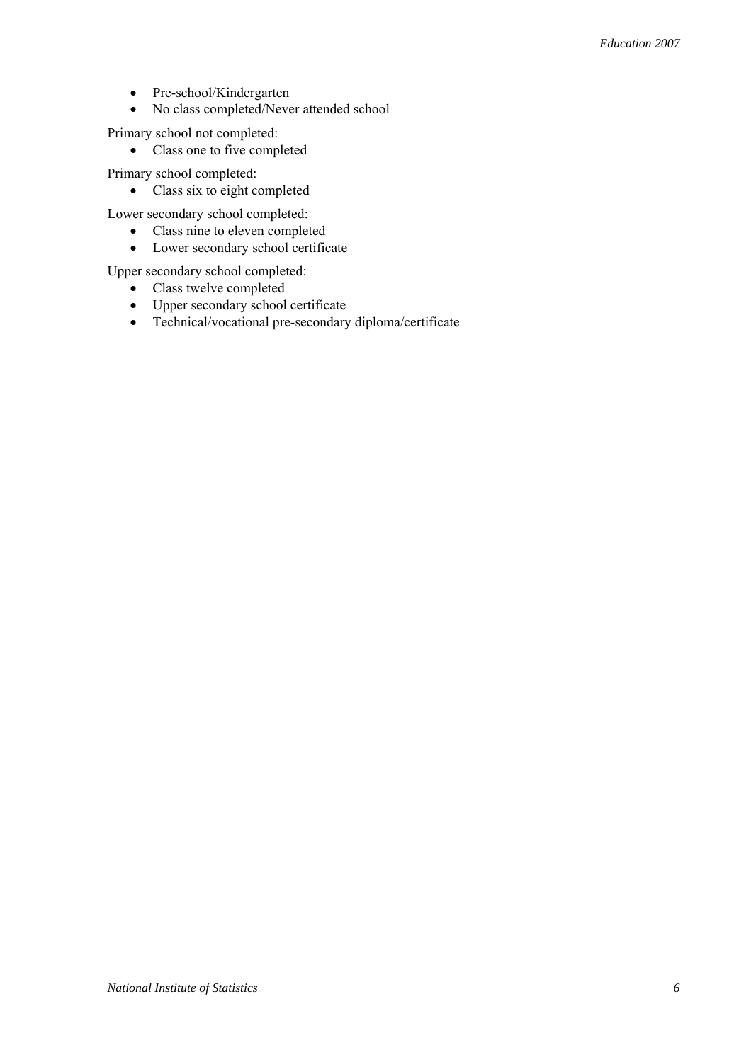- Pre-school/Kindergarten
- No class completed/Never attended school

Primary school not completed:

• Class one to five completed

Primary school completed:

• Class six to eight completed

Lower secondary school completed:

- Class nine to eleven completed
- Lower secondary school certificate

Upper secondary school completed:

- Class twelve completed
- Upper secondary school certificate
- Technical/vocational pre-secondary diploma/certificate